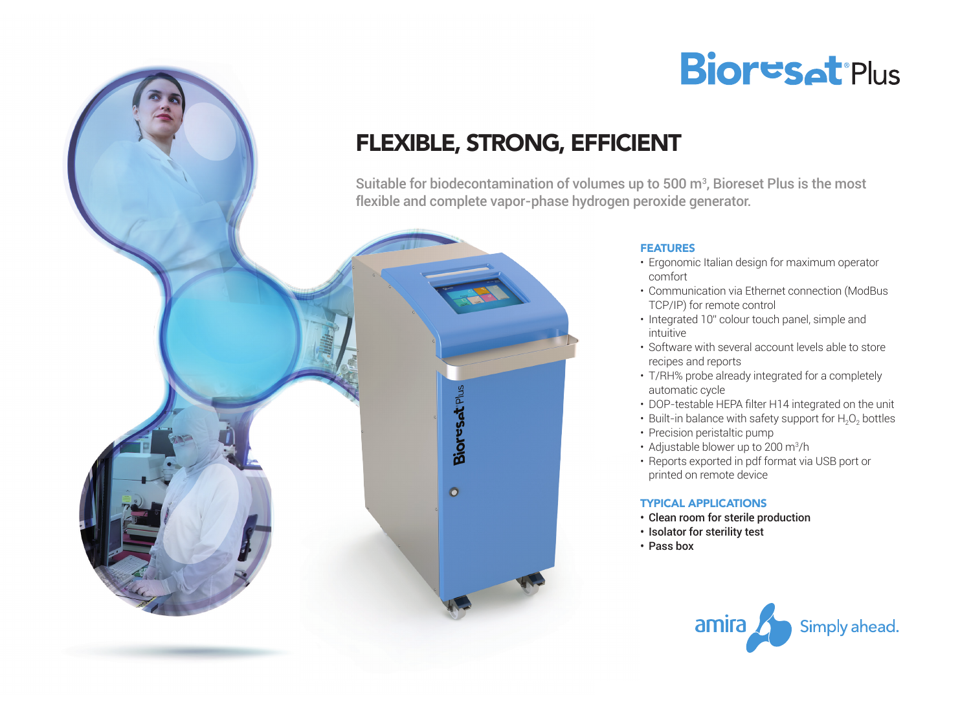

# FLEXIBLE, STRONG, EFFICIENT

Suitable for biodecontamination of volumes up to 500  $\mathrm{m}^{3}$ , Bioreset Plus is the most flexible and complete vapor-phase hydrogen peroxide generator.



### **FEATURES**

- Ergonomic Italian design for maximum operator comfort
- • Communication via Ethernet connection (ModBus TCP/IP) for remote control
- Integrated 10" colour touch panel, simple and intuitive
- Software with several account levels able to store recipes and reports
- T/RH% probe already integrated for a completely automatic cycle
- DOP-testable HEPA filter H14 integrated on the unit
- Built-in balance with safety support for  $H_2O_2$  bottles
- Precision peristaltic pump
- Adjustable blower up to 200 m<sup>3</sup>/h
- Reports exported in pdf format via USB port or printed on remote device

## Typical applications

- Clean room for sterile production
- Isolator for sterility test
- • Pass box